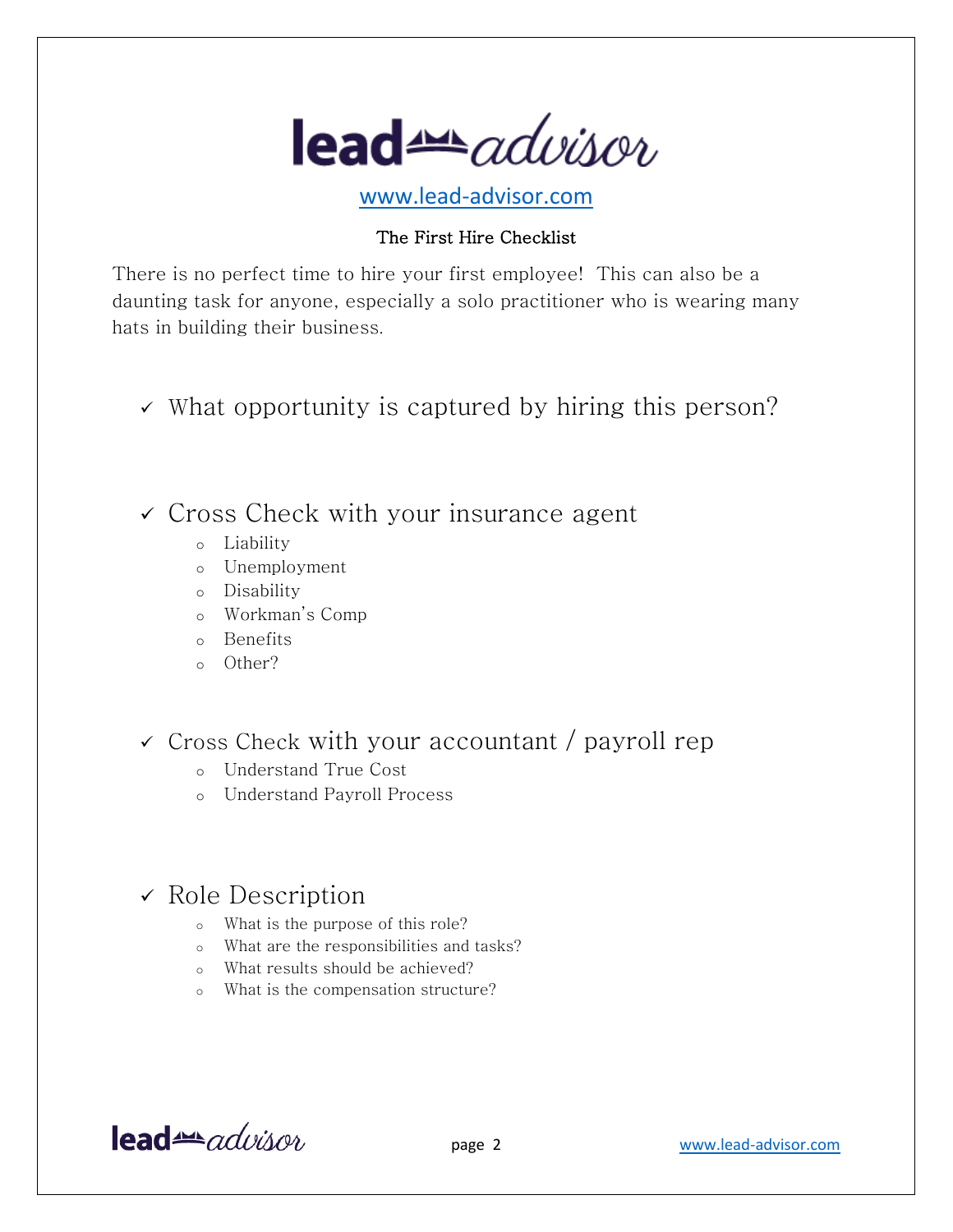

www.lead-advisor.com

#### The First Hire Checklist

There is no perfect time to hire your first employee! This can also be a daunting task for anyone, especially a solo practitioner who is wearing many hats in building their business.

- $\checkmark$  What opportunity is captured by hiring this person?
- $\checkmark$  Cross Check with your insurance agent
	- o Liability
	- o Unemployment
	- o Disability
	- o Workman's Comp
	- o Benefits
	- o Other?
- $\checkmark$  Cross Check with your accountant / payroll rep
	- o Understand True Cost
	- o Understand Payroll Process

# $\checkmark$  Role Description

- o What is the purpose of this role?
- o What are the responsibilities and tasks?
- o What results should be achieved?
- o What is the compensation structure?